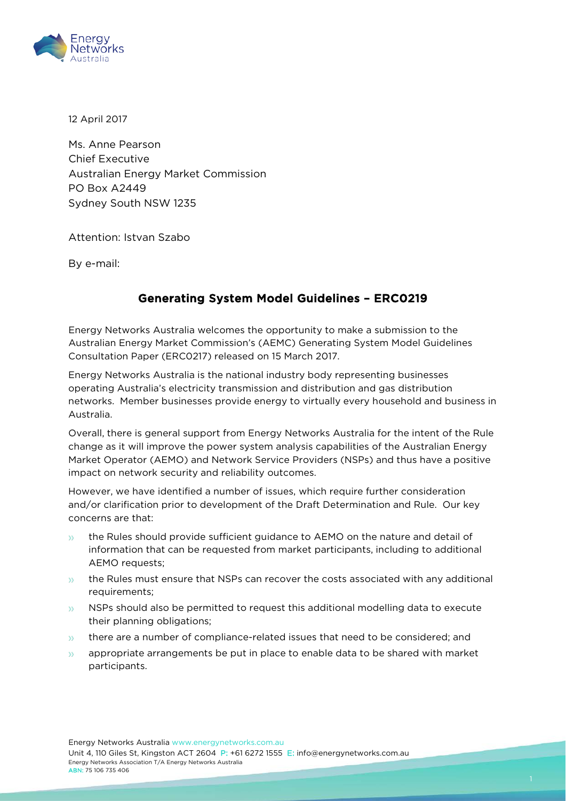

12 April 2017

Ms. Anne Pearson Chief Executive Australian Energy Market Commission PO Box A2449 Sydney South NSW 1235

Attention: Istvan Szabo

By e-mail:

## Generating System Model Guidelines – ERC0219

Energy Networks Australia welcomes the opportunity to make a submission to the Australian Energy Market Commission's (AEMC) Generating System Model Guidelines Consultation Paper (ERC0217) released on 15 March 2017.

Energy Networks Australia is the national industry body representing businesses operating Australia's electricity transmission and distribution and gas distribution networks. Member businesses provide energy to virtually every household and business in Australia.

Overall, there is general support from Energy Networks Australia for the intent of the Rule change as it will improve the power system analysis capabilities of the Australian Energy Market Operator (AEMO) and Network Service Providers (NSPs) and thus have a positive impact on network security and reliability outcomes.

However, we have identified a number of issues, which require further consideration and/or clarification prior to development of the Draft Determination and Rule. Our key concerns are that:

- the Rules should provide sufficient guidance to AEMO on the nature and detail of  $35<sup>°</sup>$ information that can be requested from market participants, including to additional AEMO requests;
- $\mathbf{y}$ the Rules must ensure that NSPs can recover the costs associated with any additional requirements;
- NSPs should also be permitted to request this additional modelling data to execute  $\mathcal{Y}$ their planning obligations;
- there are a number of compliance-related issues that need to be considered; and  $\mathcal{D}$
- appropriate arrangements be put in place to enable data to be shared with market  $35<sup>°</sup>$ participants.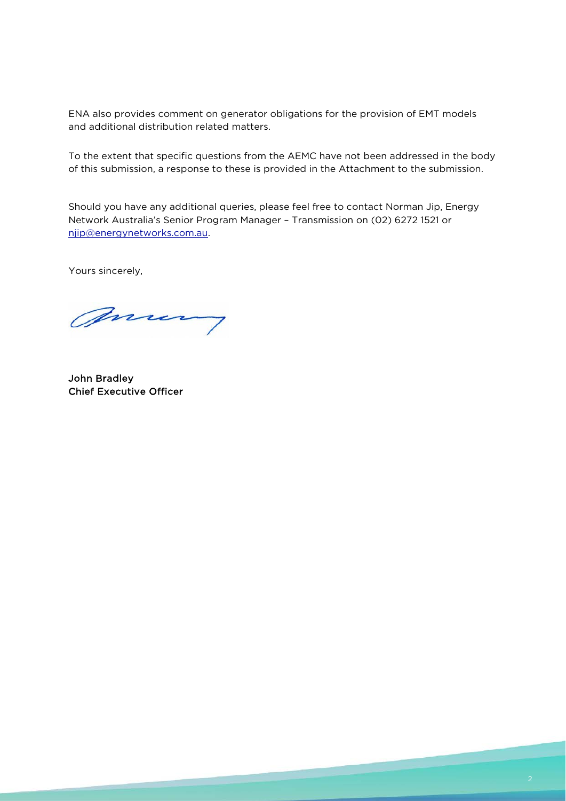ENA also provides comment on generator obligations for the provision of EMT models and additional distribution related matters.

To the extent that specific questions from the AEMC have not been addressed in the body of this submission, a response to these is provided in the Attachment to the submission.

Should you have any additional queries, please feel free to contact Norman Jip, Energy Network Australia's Senior Program Manager – Transmission on (02) 6272 1521 or [njip@energynetworks.com.au.](mailto:njip@energynetworks.com.au)

Yours sincerely,

many

John Bradley Chief Executive Officer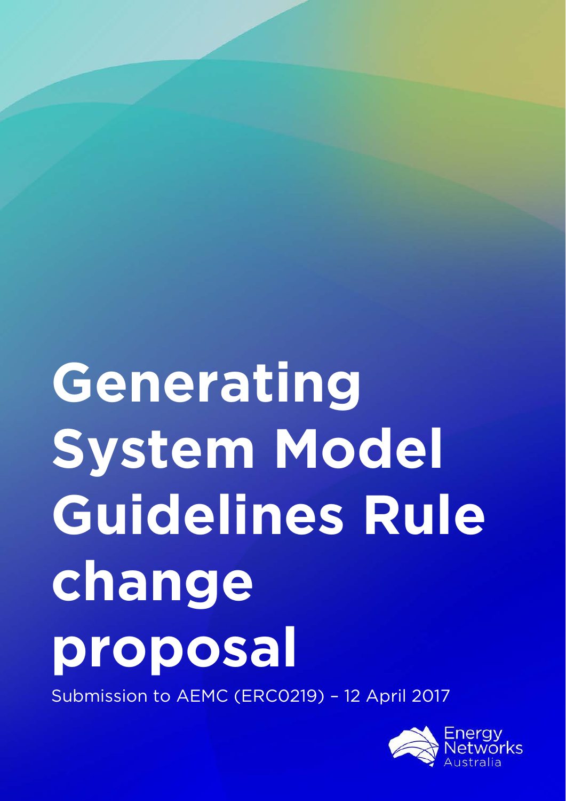# **Generating System Model Guidelines Rule change proposal**

Submission to AEMC (ERC0219) – 12 April 2017

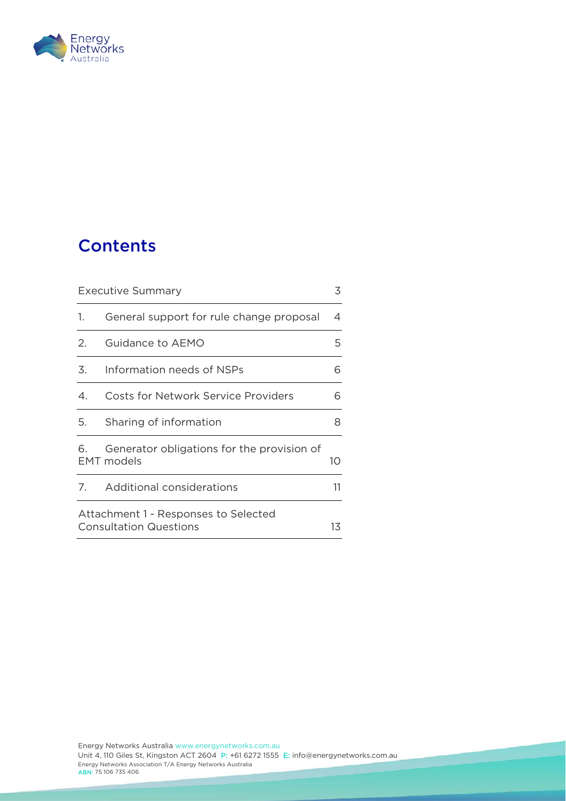

# **Contents**

| Executive Summary                                                     |                                                                 | 3  |
|-----------------------------------------------------------------------|-----------------------------------------------------------------|----|
| 1.                                                                    | General support for rule change proposal                        | 4  |
| 2.                                                                    | Guidance to AEMO                                                | 5  |
| 3.                                                                    | Information needs of NSPs                                       | 6  |
| $\overline{4}$                                                        | <b>Costs for Network Service Providers</b>                      | 6  |
| 5.                                                                    | Sharing of information                                          | 8  |
| 6.                                                                    | Generator obligations for the provision of<br><b>EMT</b> models | 10 |
| 7.                                                                    | Additional considerations                                       | 11 |
| Attachment 1 - Responses to Selected<br><b>Consultation Questions</b> |                                                                 | 13 |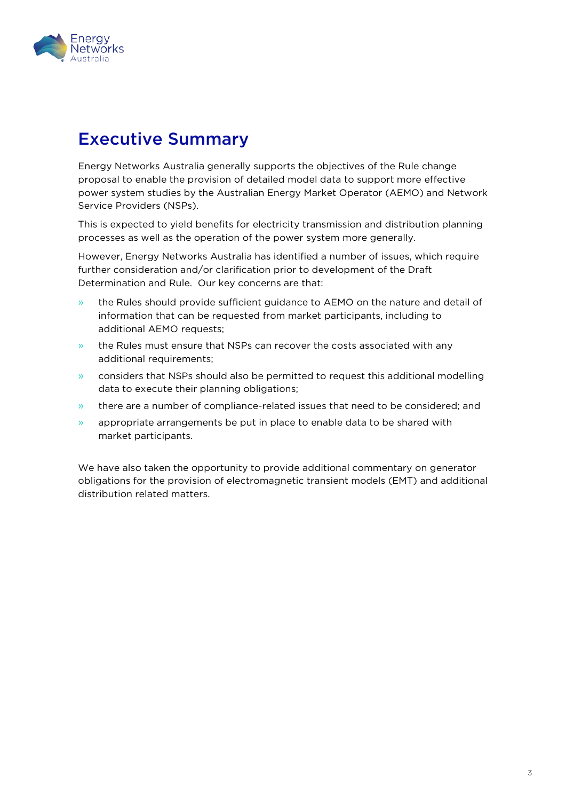

## <span id="page-4-0"></span>Executive Summary

Energy Networks Australia generally supports the objectives of the Rule change proposal to enable the provision of detailed model data to support more effective power system studies by the Australian Energy Market Operator (AEMO) and Network Service Providers (NSPs).

This is expected to yield benefits for electricity transmission and distribution planning processes as well as the operation of the power system more generally.

However, Energy Networks Australia has identified a number of issues, which require further consideration and/or clarification prior to development of the Draft Determination and Rule. Our key concerns are that:

- » the Rules should provide sufficient guidance to AEMO on the nature and detail of information that can be requested from market participants, including to additional AEMO requests;
- » the Rules must ensure that NSPs can recover the costs associated with any additional requirements;
- » considers that NSPs should also be permitted to request this additional modelling data to execute their planning obligations;
- » there are a number of compliance-related issues that need to be considered; and
- $\gg$  appropriate arrangements be put in place to enable data to be shared with market participants.

We have also taken the opportunity to provide additional commentary on generator obligations for the provision of electromagnetic transient models (EMT) and additional distribution related matters.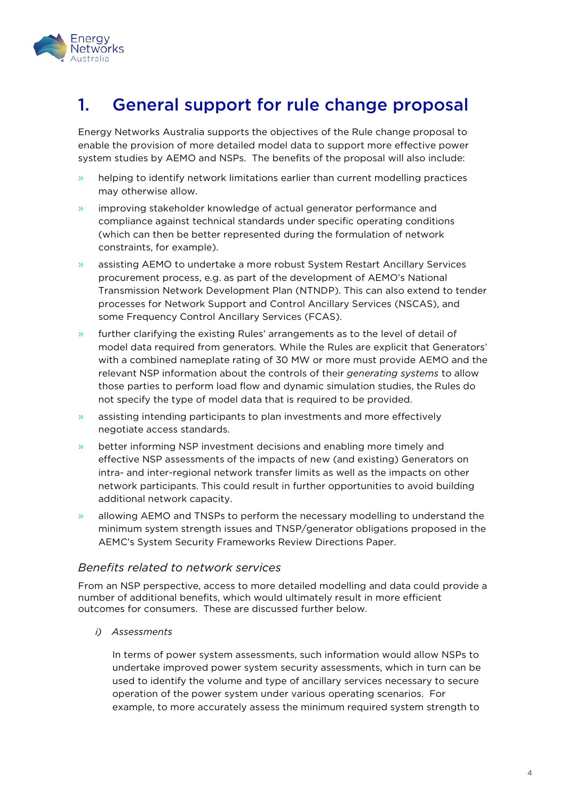

# <span id="page-5-0"></span>1. General support for rule change proposal

Energy Networks Australia supports the objectives of the Rule change proposal to enable the provision of more detailed model data to support more effective power system studies by AEMO and NSPs. The benefits of the proposal will also include:

- » helping to identify network limitations earlier than current modelling practices may otherwise allow.
- » improving stakeholder knowledge of actual generator performance and compliance against technical standards under specific operating conditions (which can then be better represented during the formulation of network constraints, for example).
- » assisting AEMO to undertake a more robust System Restart Ancillary Services procurement process, e.g. as part of the development of AEMO's National Transmission Network Development Plan (NTNDP). This can also extend to tender processes for Network Support and Control Ancillary Services (NSCAS), and some Frequency Control Ancillary Services (FCAS).
- » further clarifying the existing Rules' arrangements as to the level of detail of model data required from generators. While the Rules are explicit that Generators' with a combined nameplate rating of 30 MW or more must provide AEMO and the relevant NSP information about the controls of their *generating systems* to allow those parties to perform load flow and dynamic simulation studies, the Rules do not specify the type of model data that is required to be provided.
- » assisting intending participants to plan investments and more effectively negotiate access standards.
- » better informing NSP investment decisions and enabling more timely and effective NSP assessments of the impacts of new (and existing) Generators on intra- and inter-regional network transfer limits as well as the impacts on other network participants. This could result in further opportunities to avoid building additional network capacity.
- » allowing AEMO and TNSPs to perform the necessary modelling to understand the minimum system strength issues and TNSP/generator obligations proposed in the AEMC's System Security Frameworks Review Directions Paper.

## *Benefits related to network services*

From an NSP perspective, access to more detailed modelling and data could provide a number of additional benefits, which would ultimately result in more efficient outcomes for consumers. These are discussed further below.

*i) Assessments* 

In terms of power system assessments, such information would allow NSPs to undertake improved power system security assessments, which in turn can be used to identify the volume and type of ancillary services necessary to secure operation of the power system under various operating scenarios. For example, to more accurately assess the minimum required system strength to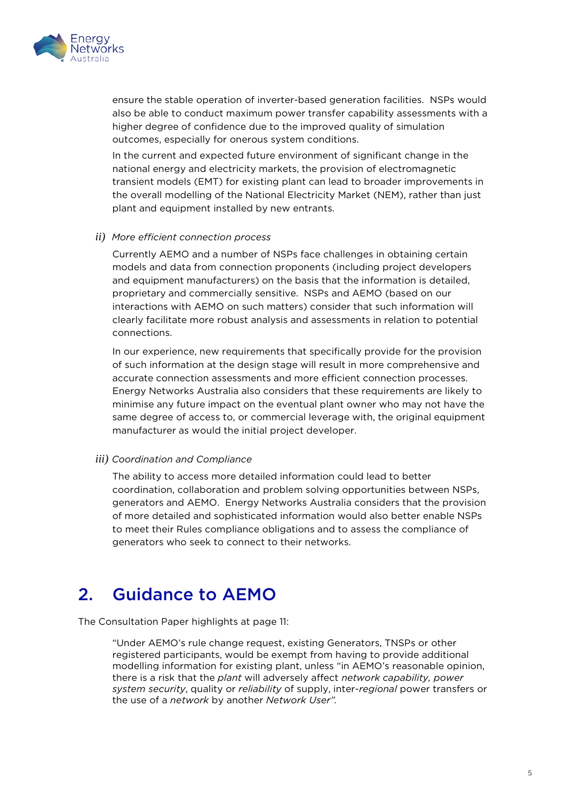

ensure the stable operation of inverter-based generation facilities. NSPs would also be able to conduct maximum power transfer capability assessments with a higher degree of confidence due to the improved quality of simulation outcomes, especially for onerous system conditions.

In the current and expected future environment of significant change in the national energy and electricity markets, the provision of electromagnetic transient models (EMT) for existing plant can lead to broader improvements in the overall modelling of the National Electricity Market (NEM), rather than just plant and equipment installed by new entrants.

#### *ii) More efficient connection process*

Currently AEMO and a number of NSPs face challenges in obtaining certain models and data from connection proponents (including project developers and equipment manufacturers) on the basis that the information is detailed, proprietary and commercially sensitive. NSPs and AEMO (based on our interactions with AEMO on such matters) consider that such information will clearly facilitate more robust analysis and assessments in relation to potential connections.

In our experience, new requirements that specifically provide for the provision of such information at the design stage will result in more comprehensive and accurate connection assessments and more efficient connection processes. Energy Networks Australia also considers that these requirements are likely to minimise any future impact on the eventual plant owner who may not have the same degree of access to, or commercial leverage with, the original equipment manufacturer as would the initial project developer.

#### *iii) Coordination and Compliance*

The ability to access more detailed information could lead to better coordination, collaboration and problem solving opportunities between NSPs, generators and AEMO. Energy Networks Australia considers that the provision of more detailed and sophisticated information would also better enable NSPs to meet their Rules compliance obligations and to assess the compliance of generators who seek to connect to their networks.

# <span id="page-6-0"></span>2. Guidance to AEMO

The Consultation Paper highlights at page 11:

"Under AEMO's rule change request, existing Generators, TNSPs or other registered participants, would be exempt from having to provide additional modelling information for existing plant, unless "in AEMO's reasonable opinion, there is a risk that the *plant* will adversely affect *network capability, power system security*, quality or *reliability* of supply, inter-*regional* power transfers or the use of a *network* by another *Network User".*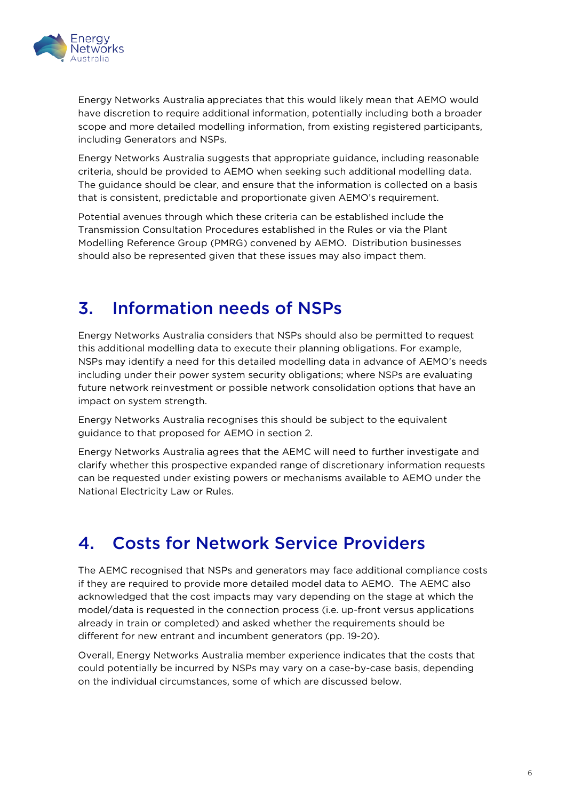

Energy Networks Australia appreciates that this would likely mean that AEMO would have discretion to require additional information, potentially including both a broader scope and more detailed modelling information, from existing registered participants, including Generators and NSPs.

Energy Networks Australia suggests that appropriate guidance, including reasonable criteria, should be provided to AEMO when seeking such additional modelling data. The guidance should be clear, and ensure that the information is collected on a basis that is consistent, predictable and proportionate given AEMO's requirement.

Potential avenues through which these criteria can be established include the Transmission Consultation Procedures established in the Rules or via the Plant Modelling Reference Group (PMRG) convened by AEMO. Distribution businesses should also be represented given that these issues may also impact them.

# <span id="page-7-0"></span>3. Information needs of NSPs

Energy Networks Australia considers that NSPs should also be permitted to request this additional modelling data to execute their planning obligations. For example, NSPs may identify a need for this detailed modelling data in advance of AEMO's needs including under their power system security obligations; where NSPs are evaluating future network reinvestment or possible network consolidation options that have an impact on system strength.

Energy Networks Australia recognises this should be subject to the equivalent guidance to that proposed for AEMO in section 2.

Energy Networks Australia agrees that the AEMC will need to further investigate and clarify whether this prospective expanded range of discretionary information requests can be requested under existing powers or mechanisms available to AEMO under the National Electricity Law or Rules.

# <span id="page-7-1"></span>4. Costs for Network Service Providers

The AEMC recognised that NSPs and generators may face additional compliance costs if they are required to provide more detailed model data to AEMO. The AEMC also acknowledged that the cost impacts may vary depending on the stage at which the model/data is requested in the connection process (i.e. up-front versus applications already in train or completed) and asked whether the requirements should be different for new entrant and incumbent generators (pp. 19-20).

Overall, Energy Networks Australia member experience indicates that the costs that could potentially be incurred by NSPs may vary on a case-by-case basis, depending on the individual circumstances, some of which are discussed below.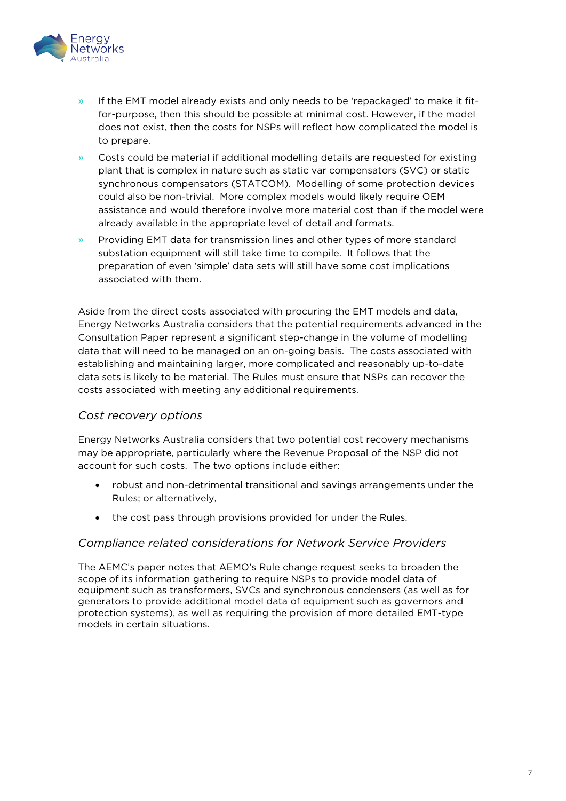

- $\rightarrow$  If the EMT model already exists and only needs to be 'repackaged' to make it fitfor-purpose, then this should be possible at minimal cost. However, if the model does not exist, then the costs for NSPs will reflect how complicated the model is to prepare.
- » Costs could be material if additional modelling details are requested for existing plant that is complex in nature such as static var compensators (SVC) or static synchronous compensators (STATCOM). Modelling of some protection devices could also be non-trivial. More complex models would likely require OEM assistance and would therefore involve more material cost than if the model were already available in the appropriate level of detail and formats.
- » Providing EMT data for transmission lines and other types of more standard substation equipment will still take time to compile. It follows that the preparation of even 'simple' data sets will still have some cost implications associated with them.

Aside from the direct costs associated with procuring the EMT models and data, Energy Networks Australia considers that the potential requirements advanced in the Consultation Paper represent a significant step-change in the volume of modelling data that will need to be managed on an on-going basis. The costs associated with establishing and maintaining larger, more complicated and reasonably up-to-date data sets is likely to be material. The Rules must ensure that NSPs can recover the costs associated with meeting any additional requirements.

## *Cost recovery options*

Energy Networks Australia considers that two potential cost recovery mechanisms may be appropriate, particularly where the Revenue Proposal of the NSP did not account for such costs. The two options include either:

- robust and non-detrimental transitional and savings arrangements under the Rules; or alternatively,
- the cost pass through provisions provided for under the Rules.

## *Compliance related considerations for Network Service Providers*

The AEMC's paper notes that AEMO's Rule change request seeks to broaden the scope of its information gathering to require NSPs to provide model data of equipment such as transformers, SVCs and synchronous condensers (as well as for generators to provide additional model data of equipment such as governors and protection systems), as well as requiring the provision of more detailed EMT-type models in certain situations.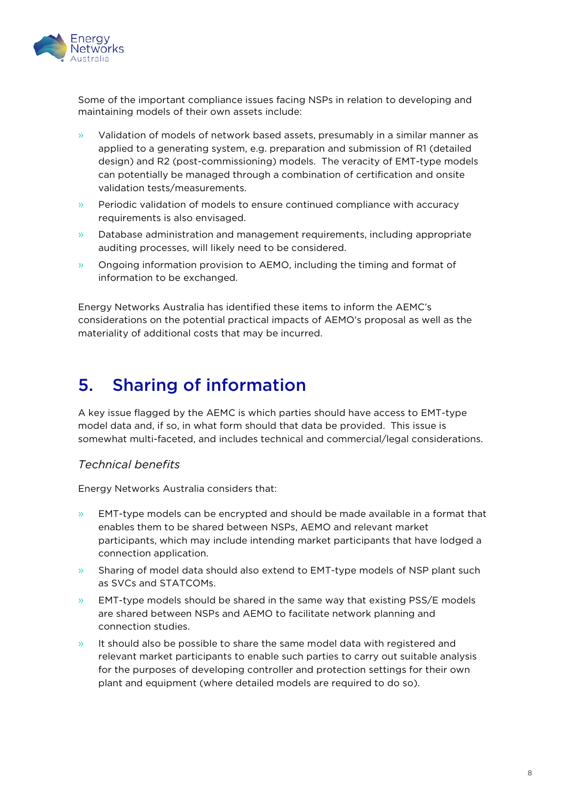

Some of the important compliance issues facing NSPs in relation to developing and maintaining models of their own assets include:

- » Validation of models of network based assets, presumably in a similar manner as applied to a generating system, e.g. preparation and submission of R1 (detailed design) and R2 (post-commissioning) models. The veracity of EMT-type models can potentially be managed through a combination of certification and onsite validation tests/measurements.
- » Periodic validation of models to ensure continued compliance with accuracy requirements is also envisaged.
- » Database administration and management requirements, including appropriate auditing processes, will likely need to be considered.
- » Ongoing information provision to AEMO, including the timing and format of information to be exchanged.

Energy Networks Australia has identified these items to inform the AEMC's considerations on the potential practical impacts of AEMO's proposal as well as the materiality of additional costs that may be incurred.

# <span id="page-9-0"></span>5. Sharing of information

A key issue flagged by the AEMC is which parties should have access to EMT-type model data and, if so, in what form should that data be provided. This issue is somewhat multi-faceted, and includes technical and commercial/legal considerations.

## *Technical benefits*

Energy Networks Australia considers that:

- $\rightarrow$  EMT-type models can be encrypted and should be made available in a format that enables them to be shared between NSPs, AEMO and relevant market participants, which may include intending market participants that have lodged a connection application.
- » Sharing of model data should also extend to EMT-type models of NSP plant such as SVCs and STATCOMs.
- $\rightarrow$  EMT-type models should be shared in the same way that existing PSS/E models are shared between NSPs and AEMO to facilitate network planning and connection studies.
- » It should also be possible to share the same model data with registered and relevant market participants to enable such parties to carry out suitable analysis for the purposes of developing controller and protection settings for their own plant and equipment (where detailed models are required to do so).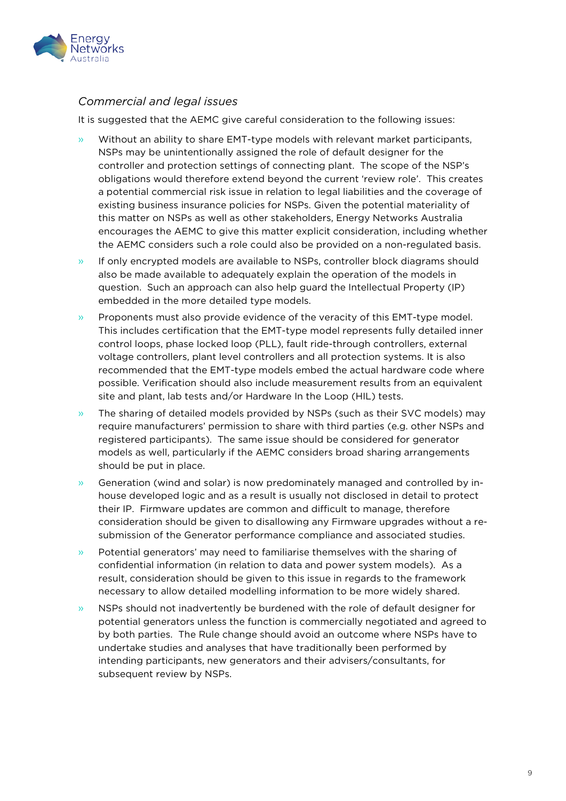

## *Commercial and legal issues*

It is suggested that the AEMC give careful consideration to the following issues:

- » Without an ability to share EMT-type models with relevant market participants, NSPs may be unintentionally assigned the role of default designer for the controller and protection settings of connecting plant. The scope of the NSP's obligations would therefore extend beyond the current 'review role'. This creates a potential commercial risk issue in relation to legal liabilities and the coverage of existing business insurance policies for NSPs. Given the potential materiality of this matter on NSPs as well as other stakeholders, Energy Networks Australia encourages the AEMC to give this matter explicit consideration, including whether the AEMC considers such a role could also be provided on a non-regulated basis.
- » If only encrypted models are available to NSPs, controller block diagrams should also be made available to adequately explain the operation of the models in question. Such an approach can also help guard the Intellectual Property (IP) embedded in the more detailed type models.
- » Proponents must also provide evidence of the veracity of this EMT-type model. This includes certification that the EMT-type model represents fully detailed inner control loops, phase locked loop (PLL), fault ride-through controllers, external voltage controllers, plant level controllers and all protection systems. It is also recommended that the EMT-type models embed the actual hardware code where possible. Verification should also include measurement results from an equivalent site and plant, lab tests and/or Hardware In the Loop (HIL) tests.
- » The sharing of detailed models provided by NSPs (such as their SVC models) may require manufacturers' permission to share with third parties (e.g. other NSPs and registered participants). The same issue should be considered for generator models as well, particularly if the AEMC considers broad sharing arrangements should be put in place.
- » Generation (wind and solar) is now predominately managed and controlled by inhouse developed logic and as a result is usually not disclosed in detail to protect their IP. Firmware updates are common and difficult to manage, therefore consideration should be given to disallowing any Firmware upgrades without a resubmission of the Generator performance compliance and associated studies.
- » Potential generators' may need to familiarise themselves with the sharing of confidential information (in relation to data and power system models). As a result, consideration should be given to this issue in regards to the framework necessary to allow detailed modelling information to be more widely shared.
- » NSPs should not inadvertently be burdened with the role of default designer for potential generators unless the function is commercially negotiated and agreed to by both parties. The Rule change should avoid an outcome where NSPs have to undertake studies and analyses that have traditionally been performed by intending participants, new generators and their advisers/consultants, for subsequent review by NSPs.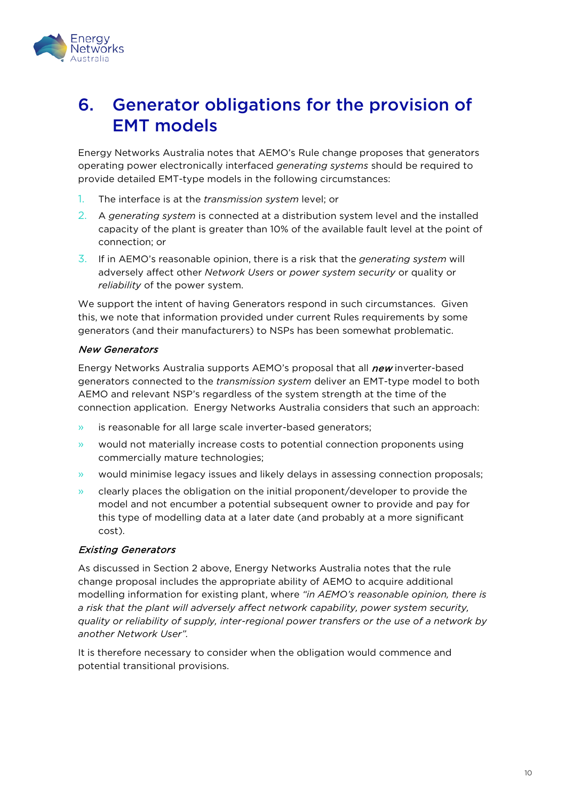

# <span id="page-11-0"></span>6. Generator obligations for the provision of EMT models

Energy Networks Australia notes that AEMO's Rule change proposes that generators operating power electronically interfaced *generating systems* should be required to provide detailed EMT-type models in the following circumstances:

- 1. The interface is at the *transmission system* level; or
- 2. A *generating system* is connected at a distribution system level and the installed capacity of the plant is greater than 10% of the available fault level at the point of connection; or
- 3. If in AEMO's reasonable opinion, there is a risk that the *generating system* will adversely affect other *Network Users* or *power system security* or quality or *reliability* of the power system.

We support the intent of having Generators respond in such circumstances. Given this, we note that information provided under current Rules requirements by some generators (and their manufacturers) to NSPs has been somewhat problematic.

## New Generators

Energy Networks Australia supports AEMO's proposal that all new inverter-based generators connected to the *transmission system* deliver an EMT-type model to both AEMO and relevant NSP's regardless of the system strength at the time of the connection application. Energy Networks Australia considers that such an approach:

- » is reasonable for all large scale inverter-based generators;
- » would not materially increase costs to potential connection proponents using commercially mature technologies;
- » would minimise legacy issues and likely delays in assessing connection proposals;
- » clearly places the obligation on the initial proponent/developer to provide the model and not encumber a potential subsequent owner to provide and pay for this type of modelling data at a later date (and probably at a more significant cost).

## Existing Generators

As discussed in Section 2 above, Energy Networks Australia notes that the rule change proposal includes the appropriate ability of AEMO to acquire additional modelling information for existing plant, where *"in AEMO's reasonable opinion, there is a risk that the plant will adversely affect network capability, power system security, quality or reliability of supply, inter-regional power transfers or the use of a network by another Network User".*

It is therefore necessary to consider when the obligation would commence and potential transitional provisions.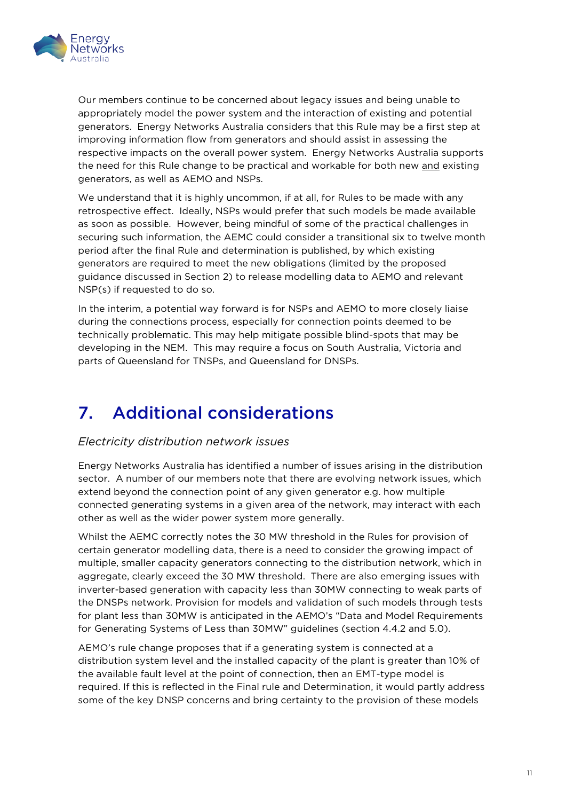

Our members continue to be concerned about legacy issues and being unable to appropriately model the power system and the interaction of existing and potential generators. Energy Networks Australia considers that this Rule may be a first step at improving information flow from generators and should assist in assessing the respective impacts on the overall power system. Energy Networks Australia supports the need for this Rule change to be practical and workable for both new and existing generators, as well as AEMO and NSPs.

We understand that it is highly uncommon, if at all, for Rules to be made with any retrospective effect. Ideally, NSPs would prefer that such models be made available as soon as possible. However, being mindful of some of the practical challenges in securing such information, the AEMC could consider a transitional six to twelve month period after the final Rule and determination is published, by which existing generators are required to meet the new obligations (limited by the proposed guidance discussed in Section 2) to release modelling data to AEMO and relevant NSP(s) if requested to do so.

In the interim, a potential way forward is for NSPs and AEMO to more closely liaise during the connections process, especially for connection points deemed to be technically problematic. This may help mitigate possible blind-spots that may be developing in the NEM. This may require a focus on South Australia, Victoria and parts of Queensland for TNSPs, and Queensland for DNSPs.

# <span id="page-12-0"></span>7. Additional considerations

## *Electricity distribution network issues*

Energy Networks Australia has identified a number of issues arising in the distribution sector. A number of our members note that there are evolving network issues, which extend beyond the connection point of any given generator e.g. how multiple connected generating systems in a given area of the network, may interact with each other as well as the wider power system more generally.

Whilst the AEMC correctly notes the 30 MW threshold in the Rules for provision of certain generator modelling data, there is a need to consider the growing impact of multiple, smaller capacity generators connecting to the distribution network, which in aggregate, clearly exceed the 30 MW threshold. There are also emerging issues with inverter-based generation with capacity less than 30MW connecting to weak parts of the DNSPs network. Provision for models and validation of such models through tests for plant less than 30MW is anticipated in the AEMO's "Data and Model Requirements for Generating Systems of Less than 30MW" guidelines (section 4.4.2 and 5.0).

AEMO's rule change proposes that if a generating system is connected at a distribution system level and the installed capacity of the plant is greater than 10% of the available fault level at the point of connection, then an EMT-type model is required. If this is reflected in the Final rule and Determination, it would partly address some of the key DNSP concerns and bring certainty to the provision of these models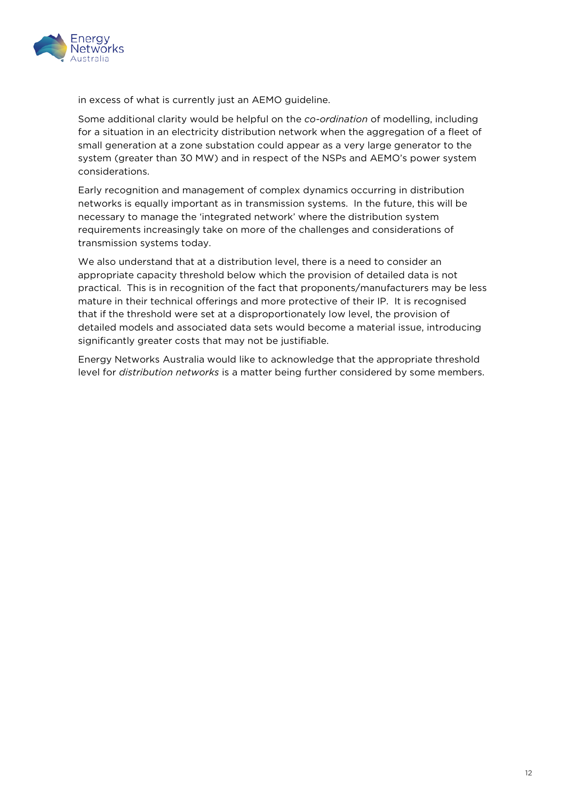

in excess of what is currently just an AEMO guideline.

Some additional clarity would be helpful on the *co-ordination* of modelling, including for a situation in an electricity distribution network when the aggregation of a fleet of small generation at a zone substation could appear as a very large generator to the system (greater than 30 MW) and in respect of the NSPs and AEMO's power system considerations.

Early recognition and management of complex dynamics occurring in distribution networks is equally important as in transmission systems. In the future, this will be necessary to manage the 'integrated network' where the distribution system requirements increasingly take on more of the challenges and considerations of transmission systems today.

We also understand that at a distribution level, there is a need to consider an appropriate capacity threshold below which the provision of detailed data is not practical. This is in recognition of the fact that proponents/manufacturers may be less mature in their technical offerings and more protective of their IP. It is recognised that if the threshold were set at a disproportionately low level, the provision of detailed models and associated data sets would become a material issue, introducing significantly greater costs that may not be justifiable.

Energy Networks Australia would like to acknowledge that the appropriate threshold level for *distribution networks* is a matter being further considered by some members.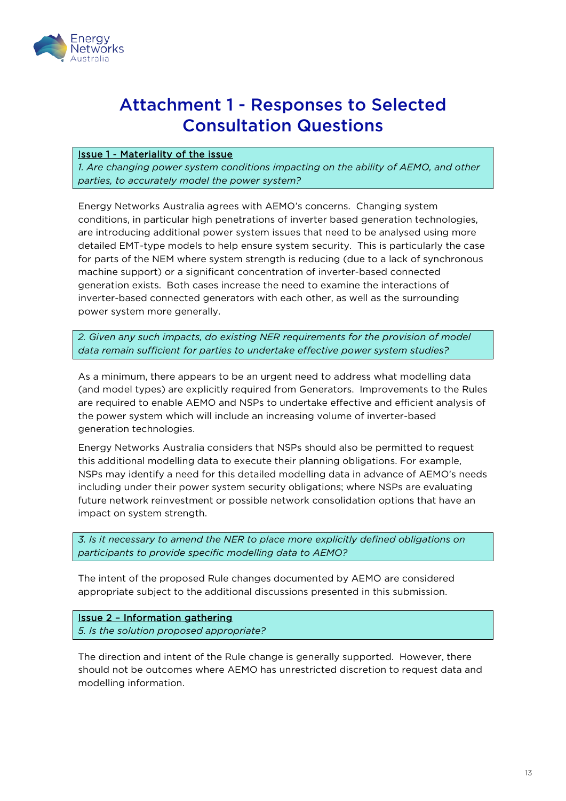

# <span id="page-14-0"></span>Attachment 1 - Responses to Selected Consultation Questions

#### Issue 1 - Materiality of the issue

*1. Are changing power system conditions impacting on the ability of AEMO, and other parties, to accurately model the power system?* 

Energy Networks Australia agrees with AEMO's concerns. Changing system conditions, in particular high penetrations of inverter based generation technologies, are introducing additional power system issues that need to be analysed using more detailed EMT-type models to help ensure system security. This is particularly the case for parts of the NEM where system strength is reducing (due to a lack of synchronous machine support) or a significant concentration of inverter-based connected generation exists. Both cases increase the need to examine the interactions of inverter-based connected generators with each other, as well as the surrounding power system more generally.

*2. Given any such impacts, do existing NER requirements for the provision of model data remain sufficient for parties to undertake effective power system studies?* 

As a minimum, there appears to be an urgent need to address what modelling data (and model types) are explicitly required from Generators. Improvements to the Rules are required to enable AEMO and NSPs to undertake effective and efficient analysis of the power system which will include an increasing volume of inverter-based generation technologies.

Energy Networks Australia considers that NSPs should also be permitted to request this additional modelling data to execute their planning obligations. For example, NSPs may identify a need for this detailed modelling data in advance of AEMO's needs including under their power system security obligations; where NSPs are evaluating future network reinvestment or possible network consolidation options that have an impact on system strength.

*3. Is it necessary to amend the NER to place more explicitly defined obligations on participants to provide specific modelling data to AEMO?*

The intent of the proposed Rule changes documented by AEMO are considered appropriate subject to the additional discussions presented in this submission.

Issue 2 – Information gathering *5. Is the solution proposed appropriate?* 

The direction and intent of the Rule change is generally supported. However, there should not be outcomes where AEMO has unrestricted discretion to request data and modelling information.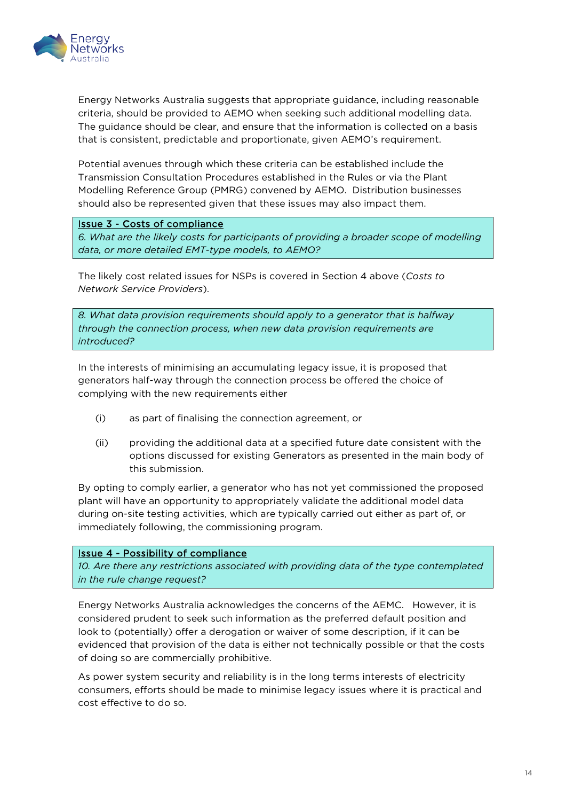

Energy Networks Australia suggests that appropriate guidance, including reasonable criteria, should be provided to AEMO when seeking such additional modelling data. The guidance should be clear, and ensure that the information is collected on a basis that is consistent, predictable and proportionate, given AEMO's requirement.

Potential avenues through which these criteria can be established include the Transmission Consultation Procedures established in the Rules or via the Plant Modelling Reference Group (PMRG) convened by AEMO. Distribution businesses should also be represented given that these issues may also impact them.

#### Issue 3 - Costs of compliance

*6. What are the likely costs for participants of providing a broader scope of modelling data, or more detailed EMT-type models, to AEMO?* 

The likely cost related issues for NSPs is covered in Section 4 above (*Costs to Network Service Providers*).

*8. What data provision requirements should apply to a generator that is halfway through the connection process, when new data provision requirements are introduced?* 

In the interests of minimising an accumulating legacy issue, it is proposed that generators half-way through the connection process be offered the choice of complying with the new requirements either

- (i) as part of finalising the connection agreement, or
- (ii) providing the additional data at a specified future date consistent with the options discussed for existing Generators as presented in the main body of this submission.

By opting to comply earlier, a generator who has not yet commissioned the proposed plant will have an opportunity to appropriately validate the additional model data during on-site testing activities, which are typically carried out either as part of, or immediately following, the commissioning program.

#### Issue 4 - Possibility of compliance

*10. Are there any restrictions associated with providing data of the type contemplated in the rule change request?*

Energy Networks Australia acknowledges the concerns of the AEMC. However, it is considered prudent to seek such information as the preferred default position and look to (potentially) offer a derogation or waiver of some description, if it can be evidenced that provision of the data is either not technically possible or that the costs of doing so are commercially prohibitive.

As power system security and reliability is in the long terms interests of electricity consumers, efforts should be made to minimise legacy issues where it is practical and cost effective to do so.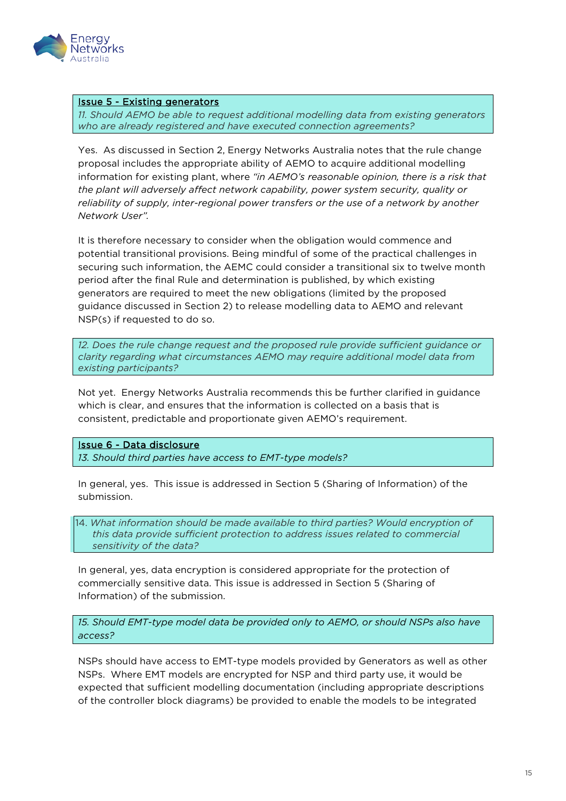

#### Issue 5 - Existing generators

*11. Should AEMO be able to request additional modelling data from existing generators who are already registered and have executed connection agreements?* 

Yes. As discussed in Section 2, Energy Networks Australia notes that the rule change proposal includes the appropriate ability of AEMO to acquire additional modelling information for existing plant, where *"in AEMO's reasonable opinion, there is a risk that the plant will adversely affect network capability, power system security, quality or reliability of supply, inter-regional power transfers or the use of a network by another Network User".*

It is therefore necessary to consider when the obligation would commence and potential transitional provisions. Being mindful of some of the practical challenges in securing such information, the AEMC could consider a transitional six to twelve month period after the final Rule and determination is published, by which existing generators are required to meet the new obligations (limited by the proposed guidance discussed in Section 2) to release modelling data to AEMO and relevant NSP(s) if requested to do so.

*12. Does the rule change request and the proposed rule provide sufficient guidance or clarity regarding what circumstances AEMO may require additional model data from existing participants?* 

Not yet. Energy Networks Australia recommends this be further clarified in guidance which is clear, and ensures that the information is collected on a basis that is consistent, predictable and proportionate given AEMO's requirement.

#### Issue 6 - Data disclosure

*13. Should third parties have access to EMT-type models?* 

In general, yes. This issue is addressed in Section 5 (Sharing of Information) of the submission.

14. *What information should be made available to third parties? Would encryption of this data provide sufficient protection to address issues related to commercial sensitivity of the data?* 

In general, yes, data encryption is considered appropriate for the protection of commercially sensitive data. This issue is addressed in Section 5 (Sharing of Information) of the submission.

*15. Should EMT-type model data be provided only to AEMO, or should NSPs also have access?* 

NSPs should have access to EMT-type models provided by Generators as well as other NSPs. Where EMT models are encrypted for NSP and third party use, it would be expected that sufficient modelling documentation (including appropriate descriptions of the controller block diagrams) be provided to enable the models to be integrated